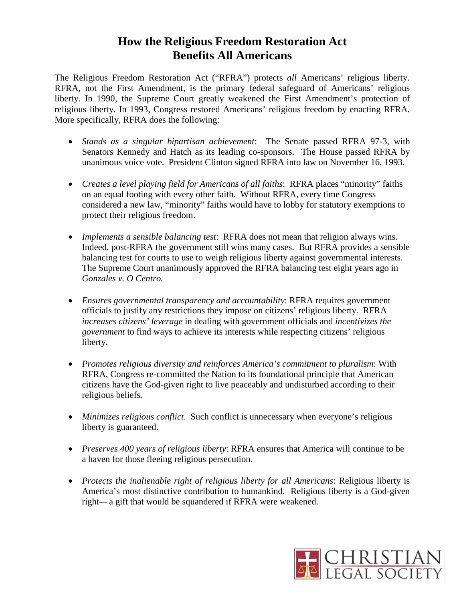## **How the Religious Freedom Restoration Act Benefits All Americans**

The Religious Freedom Restoration Act ("RFRA") protects *all* Americans' religious liberty. RFRA, not the First Amendment, is the primary federal safeguard of Americans' religious liberty. In 1990, the Supreme Court greatly weakened the First Amendment's protection of religious liberty. In 1993, Congress restored Americans' religious freedom by enacting RFRA*.* More specifically, RFRA does the following:

- *Stands as a singular bipartisan achievement*: The Senate passed RFRA 97-3, with Senators Kennedy and Hatch as its leading co-sponsors. The House passed RFRA by unanimous voice vote. President Clinton signed RFRA into law on November 16, 1993.
- *Creates a level playing field for Americans of all faiths*: RFRA places "minority" faiths on an equal footing with every other faith. Without RFRA, every time Congress considered a new law, "minority" faiths would have to lobby for statutory exemptions to protect their religious freedom.
- *Implements a sensible balancing test*: RFRA does not mean that religion always wins. Indeed, post-RFRA the government still wins many cases. But RFRA provides a sensible balancing test for courts to use to weigh religious liberty against governmental interests. The Supreme Court unanimously approved the RFRA balancing test eight years ago in *Gonzales v. O Centro.*
- *Ensures governmental transparency and accountability*: RFRA requires government officials to justify any restrictions they impose on citizens' religious liberty. RFRA *increases citizens' leverage* in dealing with government officials and *incentivizes the government* to find ways to achieve its interests while respecting citizens' religious liberty.
- *Promotes religious diversity and reinforces America's commitment to pluralism*: With RFRA, Congress re-committed the Nation to its foundational principle that American citizens have the God-given right to live peaceably and undisturbed according to their religious beliefs.
- *Minimizes religious conflict*. Such conflict is unnecessary when everyone's religious liberty is guaranteed.
- *Preserves 400 years of religious liberty*: RFRA ensures that America will continue to be a haven for those fleeing religious persecution.
- *Protects the inalienable right of religious liberty for all Americans*: Religious liberty is America's most distinctive contribution to humankind. Religious liberty is a God-given right-– a gift that would be squandered if RFRA were weakened.